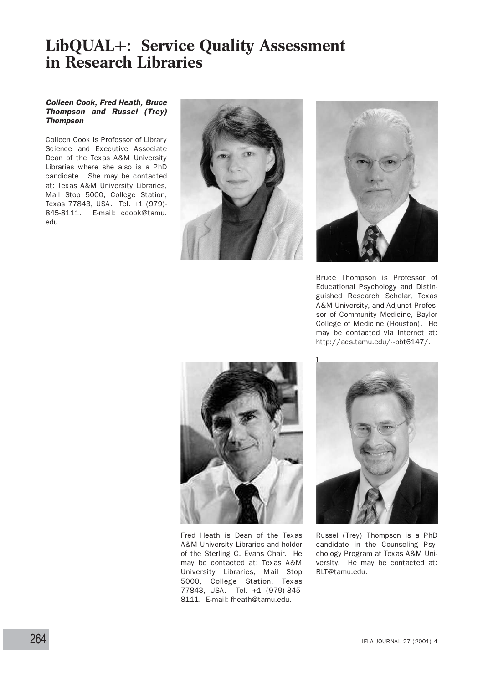# **LibQUAL+: Service Quality Assessment in Research Libraries**

#### Colleen Cook, Fred Heath, Bruce Thompson and Russel (Trey) **Thompson**

Colleen Cook is Professor of Library Science and Executive Associate Dean of the Texas A&M University Libraries where she also is a PhD candidate. She may be contacted at: Texas A&M University Libraries, Mail Stop 5000, College Station, Texas 77843, USA. Tel. +1 (979)- 845-8111. E-mail: ccook@tamu. edu.





Bruce Thompson is Professor of Educational Psychology and Distinguished Research Scholar, Texas A&M University, and Adjunct Professor of Community Medicine, Baylor College of Medicine (Houston). He may be contacted via Internet at: http://acs.tamu.edu/~bbt6147/.



Fred Heath is Dean of the Texas A&M University Libraries and holder of the Sterling C. Evans Chair. He may be contacted at: Texas A&M University Libraries, Mail Stop 5000, College Station, Texas 77843, USA. Tel. +1 (979)-845- 8111. E-mail: fheath@tamu.edu.



Russel (Trey) Thompson is a PhD candidate in the Counseling Psychology Program at Texas A&M University. He may be contacted at: RLT@tamu.edu.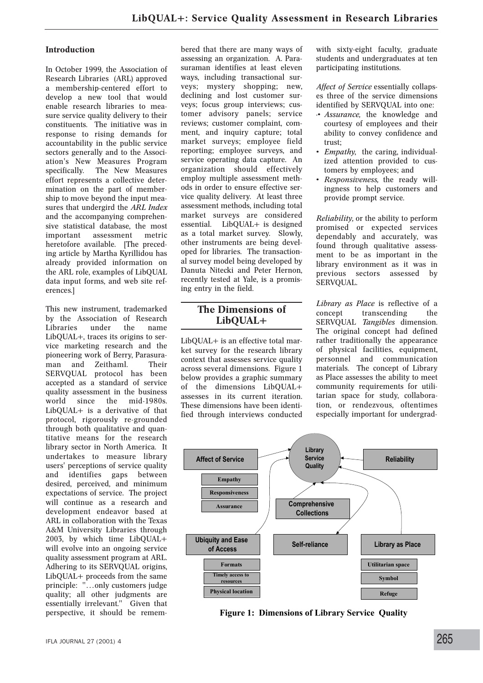#### **Introduction**

In October 1999, the Association of Research Libraries (ARL) approved a membership-centered effort to develop a new tool that would enable research libraries to measure service quality delivery to their constituents. The initiative was in response to rising demands for accountability in the public service sectors generally and to the Association's New Measures Program specifically. The New Measures effort represents a collective determination on the part of membership to move beyond the input measures that undergird the *ARL Index* and the accompanying comprehensive statistical database, the most assessment metric heretofore available. [The preceding article by Martha Kyrillidou has already provided information on the ARL role, examples of LibQUAL data input forms, and web site references.]

This new instrument, trademarked by the Association of Research Libraries under the name LibQUAL+, traces its origins to service marketing research and the pioneering work of Berry, Parasuraman and Zeithaml. Their SERVQUAL protocol has been accepted as a standard of service quality assessment in the business world since the mid-1980s. LibQUAL+ is a derivative of that protocol, rigorously re-grounded through both qualitative and quantitative means for the research library sector in North America. It undertakes to measure library users' perceptions of service quality and identifies gaps between desired, perceived, and minimum expectations of service. The project will continue as a research and development endeavor based at ARL in collaboration with the Texas A&M University Libraries through 2003, by which time LibQUAL+ will evolve into an ongoing service quality assessment program at ARL. Adhering to its SERVQUAL origins, LibQUAL+ proceeds from the same principle: "…only customers judge quality; all other judgments are essentially irrelevant." Given that perspective, it should be remembered that there are many ways of assessing an organization. A. Parasuraman identifies at least eleven ways, including transactional surveys; mystery shopping; new, declining and lost customer surveys; focus group interviews; customer advisory panels; service reviews; customer complaint, comment, and inquiry capture; total market surveys; employee field reporting; employee surveys, and service operating data capture. An organization should effectively employ multiple assessment methods in order to ensure effective service quality delivery. At least three assessment methods, including total market surveys are considered essential. LibQUAL+ is designed as a total market survey. Slowly, other instruments are being developed for libraries. The transactional survey model being developed by Danuta Nitecki and Peter Hernon, recently tested at Yale, is a promising entry in the field.

## **The Dimensions of LibQUAL+**

LibQUAL+ is an effective total market survey for the research library context that assesses service quality across several dimensions. Figure 1 below provides a graphic summary of the dimensions LibQUAL+ assesses in its current iteration. These dimensions have been identified through interviews conducted with sixty-eight faculty, graduate students and undergraduates at ten participating institutions.

*Affect of Service* essentially collapses three of the service dimensions identified by SERVQUAL into one:

- ·• *Assurance,* the knowledge and courtesy of employees and their ability to convey confidence and trust;
- *Empathy*, the caring, individualized attention provided to customers by employees; and
- *Responsiveness,* the ready willingness to help customers and provide prompt service.

*Reliability,* or the ability to perform promised or expected services dependably and accurately, was found through qualitative assessment to be as important in the library environment as it was in previous sectors assessed by SERVQUAL.

*Library as Place* is reflective of a concept transcending the SERVQUAL *Tangibles* dimension. The original concept had defined rather traditionally the appearance of physical facilities, equipment, personnel and communication materials. The concept of Library as Place assesses the ability to meet community requirements for utilitarian space for study, collaboration, or rendezvous, oftentimes especially important for undergrad-



**Figure 1: Dimensions of Library Service Quality**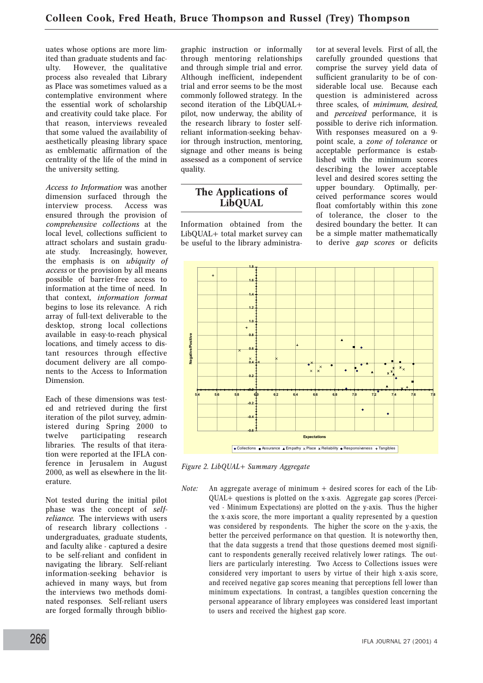uates whose options are more limited than graduate students and faculty. However, the qualitative process also revealed that Library as Place was sometimes valued as a contemplative environment where the essential work of scholarship and creativity could take place. For that reason, interviews revealed that some valued the availability of aesthetically pleasing library space as emblematic affirmation of the centrality of the life of the mind in the university setting.

*Access to Information* was another dimension surfaced through the<br>interview process. Access was interview process. ensured through the provision of *comprehensive collections* at the local level, collections sufficient to attract scholars and sustain graduate study. Increasingly, however, the emphasis is on *ubiquity of access* or the provision by all means possible of barrier-free access to information at the time of need. In that context, *information format* begins to lose its relevance. A rich array of full-text deliverable to the desktop, strong local collections available in easy-to-reach physical locations, and timely access to distant resources through effective document delivery are all components to the Access to Information Dimension.

Each of these dimensions was tested and retrieved during the first iteration of the pilot survey, administered during Spring 2000 to twelve participating research libraries. The results of that iteration were reported at the IFLA conference in Jerusalem in August 2000, as well as elsewhere in the literature.

Not tested during the initial pilot phase was the concept of *selfreliance.* The interviews with users of research library collections undergraduates, graduate students, and faculty alike - captured a desire to be self-reliant and confident in navigating the library. Self-reliant information-seeking behavior is achieved in many ways, but from the interviews two methods dominated responses. Self-reliant users are forged formally through bibliographic instruction or informally through mentoring relationships and through simple trial and error. Although inefficient, independent trial and error seems to be the most commonly followed strategy. In the second iteration of the LibQUAL+ pilot, now underway, the ability of the research library to foster selfreliant information-seeking behavior through instruction, mentoring, signage and other means is being assessed as a component of service quality.

## **The Applications of LibQUAL**

Information obtained from the LibQUAL+ total market survey can be useful to the library administrator at several levels. First of all, the carefully grounded questions that comprise the survey yield data of sufficient granularity to be of considerable local use. Because each question is administered across three scales, of *minimum, desired,* and *perceived* performance, it is possible to derive rich information. With responses measured on a 9 point scale, a *zone of tolerance* or acceptable performance is established with the minimum scores describing the lower acceptable level and desired scores setting the upper boundary. Optimally, perceived performance scores would float comfortably within this zone of tolerance, the closer to the desired boundary the better. It can be a simple matter mathematically to derive *gap scores* or deficits



*Figure 2. LibQUAL+ Summary Aggregate*

*Note:* An aggregate average of minimum + desired scores for each of the Lib-QUAL+ questions is plotted on the x-axis. Aggregate gap scores (Perceived - Minimum Expectations) are plotted on the y-axis. Thus the higher the x-axis score, the more important a quality represented by a question was considered by respondents. The higher the score on the y-axis, the better the perceived performance on that question. It is noteworthy then, that the data suggests a trend that those questions deemed most significant to respondents generally received relatively lower ratings. The outliers are particularly interesting. Two Access to Collections issues were considered very important to users by virtue of their high x-axis score, and received negative gap scores meaning that perceptions fell lower than minimum expectations. In contrast, a tangibles question concerning the personal appearance of library employees was considered least important to users and received the highest gap score.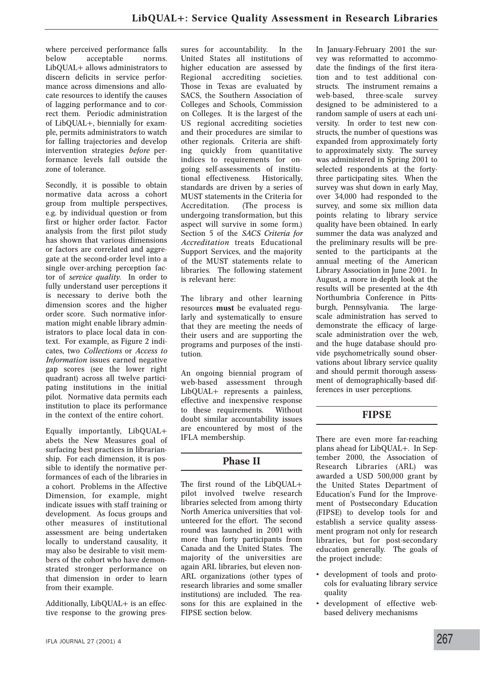where perceived performance falls below acceptable norms. LibQUAL+ allows administrators to discern deficits in service performance across dimensions and allocate resources to identify the causes of lagging performance and to correct them. Periodic administration of LibQUAL+, biennially for example, permits administrators to watch for falling trajectories and develop intervention strategies *before* performance levels fall outside the zone of tolerance.

Secondly, it is possible to obtain normative data across a cohort group from multiple perspectives, e.g. by individual question or from first or higher order factor. Factor analysis from the first pilot study has shown that various dimensions or factors are correlated and aggregate at the second-order level into a single over-arching perception factor of *service quality*. In order to fully understand user perceptions it is necessary to derive both the dimension scores and the higher order score. Such normative information might enable library administrators to place local data in context. For example, as Figure 2 indicates, two *Collections* or *Access to Information* issues earned negative gap scores (see the lower right quadrant) across all twelve participating institutions in the initial pilot. Normative data permits each institution to place its performance in the context of the entire cohort.

Equally importantly, LibQUAL+ abets the New Measures goal of surfacing best practices in librarianship. For each dimension, it is possible to identify the normative performances of each of the libraries in a cohort. Problems in the Affective Dimension, for example, might indicate issues with staff training or development. As focus groups and other measures of institutional assessment are being undertaken locally to understand causality, it may also be desirable to visit members of the cohort who have demonstrated stronger performance on that dimension in order to learn from their example.

Additionally, LibQUAL+ is an effective response to the growing pressures for accountability. In the United States all institutions of higher education are assessed by Regional accrediting societies. Those in Texas are evaluated by SACS, the Southern Association of Colleges and Schools, Commission on Colleges. It is the largest of the US regional accrediting societies and their procedures are similar to other regionals. Criteria are shifting quickly from quantitative indices to requirements for ongoing self-assessments of institutional effectiveness. Historically, standards are driven by a series of MUST statements in the Criteria for Accreditation. (The process is undergoing transformation, but this aspect will survive in some form.) Section 5 of the *SACS Criteria for Accreditation* treats Educational Support Services, and the majority of the MUST statements relate to libraries. The following statement is relevant here:

The library and other learning resources **must** be evaluated regularly and systematically to ensure that they are meeting the needs of their users and are supporting the programs and purposes of the institution.

An ongoing biennial program of web-based assessment through LibQUAL+ represents a painless, effective and inexpensive response to these requirements. Without doubt similar accountability issues are encountered by most of the IFLA membership.

# **Phase II**

The first round of the LibQUAL+ pilot involved twelve research libraries selected from among thirty North America universities that volunteered for the effort. The second round was launched in 2001 with more than forty participants from Canada and the United States. The majority of the universities are again ARL libraries, but eleven non-ARL organizations (other types of research libraries and some smaller institutions) are included. The reasons for this are explained in the FIPSE section below.

In January-February 2001 the survey was reformatted to accommodate the findings of the first iteration and to test additional constructs. The instrument remains a web-based, three-scale survey designed to be administered to a random sample of users at each university. In order to test new constructs, the number of questions was expanded from approximately forty to approximately sixty. The survey was administered in Spring 2001 to selected respondents at the fortythree participating sites. When the survey was shut down in early May, over 34,000 had responded to the survey, and some six million data points relating to library service quality have been obtained. In early summer the data was analyzed and the preliminary results will be presented to the participants at the annual meeting of the American Library Association in June 2001. In August, a more in-depth look at the results will be presented at the 4th Northumbria Conference in Pittsburgh, Pennsylvania. The largescale administration has served to demonstrate the efficacy of largescale administration over the web, and the huge database should provide psychometrically sound observations about library service quality and should permit thorough assessment of demographically-based differences in user perceptions.

# **FIPSE**

There are even more far-reaching plans ahead for LibQUAL+. In September 2000, the Association of Research Libraries (ARL) was awarded a USD 500,000 grant by the United States Department of Education's Fund for the Improvement of Postsecondary Education (FIPSE) to develop tools for and establish a service quality assessment program not only for research libraries, but for post-secondary education generally. The goals of the project include:

- development of tools and protocols for evaluating library service quality
- development of effective webbased delivery mechanisms